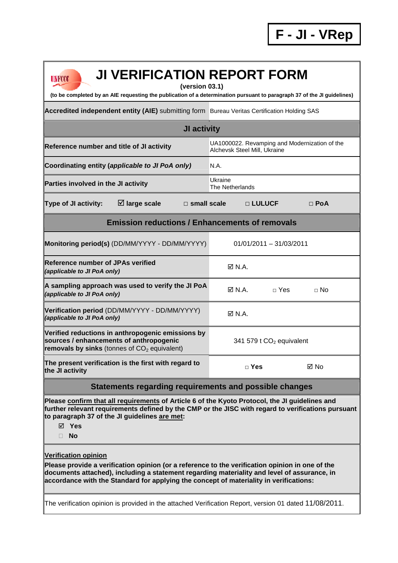| <b>JI VERIFICATION REPORT FORM</b><br>UNFCCC<br>(version 03.1)<br>(to be completed by an AIE requesting the publication of a determination pursuant to paragraph 37 of the JI guidelines)                                                                                                                                                                                                                                         |                                                                               |                           |             |  |  |  |
|-----------------------------------------------------------------------------------------------------------------------------------------------------------------------------------------------------------------------------------------------------------------------------------------------------------------------------------------------------------------------------------------------------------------------------------|-------------------------------------------------------------------------------|---------------------------|-------------|--|--|--|
| Accredited independent entity (AIE) submitting form Bureau Veritas Certification Holding SAS                                                                                                                                                                                                                                                                                                                                      |                                                                               |                           |             |  |  |  |
| JI activity                                                                                                                                                                                                                                                                                                                                                                                                                       |                                                                               |                           |             |  |  |  |
| Reference number and title of JI activity                                                                                                                                                                                                                                                                                                                                                                                         | UA1000022. Revamping and Modernization of the<br>Alchevsk Steel Mill, Ukraine |                           |             |  |  |  |
| Coordinating entity (applicable to JI PoA only)                                                                                                                                                                                                                                                                                                                                                                                   | N.A.                                                                          |                           |             |  |  |  |
| Parties involved in the JI activity                                                                                                                                                                                                                                                                                                                                                                                               | Ukraine<br>The Netherlands                                                    |                           |             |  |  |  |
| $\boxtimes$ large scale<br>Type of JI activity:<br>$\Box$ small scale                                                                                                                                                                                                                                                                                                                                                             | □ LULUCF                                                                      |                           | $\Box$ PoA  |  |  |  |
| <b>Emission reductions / Enhancements of removals</b>                                                                                                                                                                                                                                                                                                                                                                             |                                                                               |                           |             |  |  |  |
| Monitoring period(s) (DD/MM/YYYY - DD/MM/YYYY)                                                                                                                                                                                                                                                                                                                                                                                    |                                                                               | $01/01/2011 - 31/03/2011$ |             |  |  |  |
| <b>IReference number of JPAs verified</b><br>(applicable to JI PoA only)                                                                                                                                                                                                                                                                                                                                                          | $\boxtimes$ N.A.                                                              |                           |             |  |  |  |
| A sampling approach was used to verify the JI PoA<br>(applicable to JI PoA only)                                                                                                                                                                                                                                                                                                                                                  | $\boxtimes$ N.A.                                                              | $\sqcap$ Yes              | $\sqcap$ No |  |  |  |
| Verification period (DD/MM/YYYY - DD/MM/YYYY)<br>(applicable to JI PoA only)                                                                                                                                                                                                                                                                                                                                                      | $\boxtimes$ N.A.                                                              |                           |             |  |  |  |
| Verified reductions in anthropogenic emissions by<br>sources / enhancements of anthropogenic<br>removals by sinks (tonnes of $CO2$ equivalent)                                                                                                                                                                                                                                                                                    | 341 579 t CO <sub>2</sub> equivalent                                          |                           |             |  |  |  |
| The present verification is the first with regard to<br>the JI activity                                                                                                                                                                                                                                                                                                                                                           | $\Box$ Yes                                                                    |                           | ⊠ No        |  |  |  |
| Statements regarding requirements and possible changes                                                                                                                                                                                                                                                                                                                                                                            |                                                                               |                           |             |  |  |  |
| Please confirm that all requirements of Article 6 of the Kyoto Protocol, the JI guidelines and<br>further relevant requirements defined by the CMP or the JISC with regard to verifications pursuant<br>to paragraph 37 of the JI guidelines are met:<br>$\boxtimes$ Yes<br><b>No</b><br>П.                                                                                                                                       |                                                                               |                           |             |  |  |  |
| <b>Verification opinion</b><br>Please provide a verification opinion (or a reference to the verification opinion in one of the<br>documents attached), including a statement regarding materiality and level of assurance, in<br>accordance with the Standard for applying the concept of materiality in verifications:<br>The verification opinion is provided in the attached Verification Report, version 01 dated 11/08/2011. |                                                                               |                           |             |  |  |  |
|                                                                                                                                                                                                                                                                                                                                                                                                                                   |                                                                               |                           |             |  |  |  |